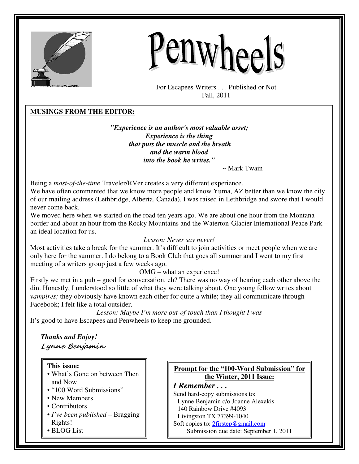



For Escapees Writers . . . Published or Not Fall, 2011

## **MUSINGS FROM THE EDITOR:**

*"Experience is an author's most valuable asset; Experience is the thing that puts the muscle and the breath and the warm blood into the book he writes."* 

~ Mark Twain

Being a *most-of-the-time* Traveler/RVer creates a very different experience.

We have often commented that we know more people and know Yuma, AZ better than we know the city of our mailing address (Lethbridge, Alberta, Canada). I was raised in Lethbridge and swore that I would never come back.

We moved here when we started on the road ten years ago. We are about one hour from the Montana border and about an hour from the Rocky Mountains and the Waterton-Glacier International Peace Park – an ideal location for us.

#### *Lesson: Never say never!*

Most activities take a break for the summer. It's difficult to join activities or meet people when we are only here for the summer. I do belong to a Book Club that goes all summer and I went to my first meeting of a writers group just a few weeks ago.

OMG – what an experience!

Firstly we met in a pub – good for conversation, eh? There was no way of hearing each other above the din. Honestly, I understood so little of what they were talking about. One young fellow writes about *vampires;* they obviously have known each other for quite a while; they all communicate through Facebook; I felt like a total outsider.

*Lesson: Maybe I'm more out-of-touch than I thought I was*  It's good to have Escapees and Penwheels to keep me grounded.

*Thanks and Enjoy!*  Lynne Benjamin

**This issue:** 

- What's Gone on between Then and Now
- "100 Word Submissions"
- New Members
- Contributors
- *I've been published* Bragging Rights!
- BLOG List

## **Prompt for the "100-Word Submission" for the Winter, 2011 Issue:**

*I Remember . . .*  Send hard-copy submissions to: Lynne Benjamin c/o Joanne Alexakis 140 Rainbow Drive #4093 Livingston TX 77399-1040 Soft copies to: 2firstep@gmail.com Submission due date: September 1, 2011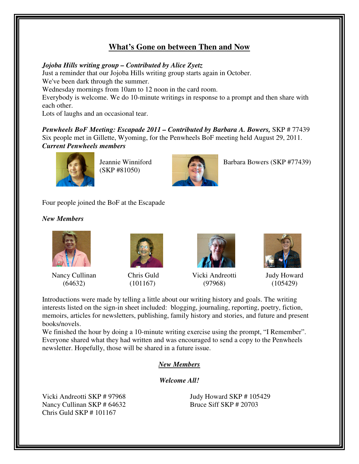## **What's Gone on between Then and Now**

## *Jojoba Hills writing group – Contributed by Alice Zyetz*

Just a reminder that our Jojoba Hills writing group starts again in October.

We've been dark through the summer.

Wednesday mornings from 10am to 12 noon in the card room.

Everybody is welcome. We do 10-minute writings in response to a prompt and then share with each other.

Lots of laughs and an occasional tear.

*Penwheels BoF Meeting: Escapade 2011 – Contributed by Barbara A. Bowers,* SKP # 77439 Six people met in Gillette, Wyoming, for the Penwheels BoF meeting held August 29, 2011. *Current Penwheels members* 



(SKP #81050)



Jeannie Winniford Barbara Bowers (SKP #77439)

Four people joined the BoF at the Escapade

## *New Members*



Nancy Cullinan (64632)



Chris Guld (101167)



Vicki Andreotti (97968)



Judy Howard (105429)

Introductions were made by telling a little about our writing history and goals. The writing interests listed on the sign-in sheet included: blogging, journaling, reporting, poetry, fiction, memoirs, articles for newsletters, publishing, family history and stories, and future and present books/novels.

We finished the hour by doing a 10-minute writing exercise using the prompt, "I Remember". Everyone shared what they had written and was encouraged to send a copy to the Penwheels newsletter. Hopefully, those will be shared in a future issue.

## *New Members*

*Welcome All!* 

Vicki Andreotti SKP # 97968 Nancy Cullinan SKP # 64632 Chris Guld SKP # 101167

Judy Howard SKP # 105429 Bruce Siff SKP # 20703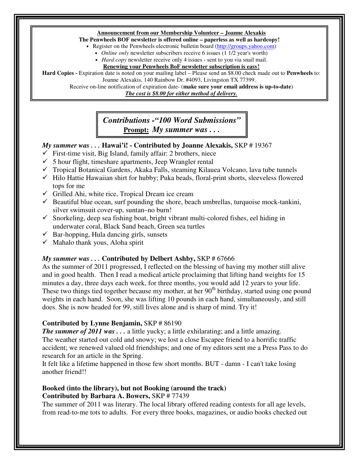## **Announcement from our Membership Volunteer – Joanne Alexakis**

## **The Penwheels BOF newsletter is offered online – paperless as well as hardcopy!**

• Register on the Penwheels electronic bulletin board (http://groups.yahoo.com)

- *Online only* newsletter subscribers receive 6 issues (1 1/2 year's worth)
- *Hard copy* newsletter receive only 4 issues sent to you via snail mail.

#### **Renewing your Penwheels BoF newsletter subscription is easy!**

**Hard Copies -** Expiration date is noted on your mailing label – Please send an \$8.00 check made out to **Penwheels** to: Joanne Alexakis, 140 Rainbow Dr. #4093, Livingston TX 77399.

Receive on-line notification of expiration date- (**make sure your email address is up-to-date**)

*The cost is \$8.00 for either method of delivery.*

## *Contributions -"100 Word Submissions"* **Prompt:** *My summer was . . .*

## *My summer was . . .* **Hawai'i! - Contributed by Joanne Alexakis,** SKP # 19367

- $\checkmark$  First-time visit, Big Island, family affair: 2 brothers, niece
- $\checkmark$  5 hour flight, timeshare apartments, Jeep Wrangler rental
- $\checkmark$  Tropical Botanical Gardens, Akaka Falls, steaming Kilauea Volcano, lava tube tunnels
- $\checkmark$  Hilo Hattie Hawaiian shirt for hubby; Puka beads, floral-print shorts, sleeveless flowered tops for me
- $\checkmark$  Grilled Ahi, white rice, Tropical Dream ice cream
- $\checkmark$  Beautiful blue ocean, surf pounding the shore, beach umbrellas, turquoise mock-tankini, silver swimsuit cover-up, suntan–no burn!
- $\checkmark$  Snorkeling, deep sea fishing boat, bright vibrant multi-colored fishes, eel hiding in underwater coral, Black Sand beach, Green sea turtles
- $\checkmark$  Bar-hopping, Hula dancing girls, sunsets
- $\checkmark$  Mahalo thank yous, Aloha spirit

## *My summer was . . .* **Contributed by Delbert Ashby,** SKP # 67666

As the summer of 2011 progressed, I reflected on the blessing of having my mother still alive and in good health. Then I read a medical article proclaiming that lifting hand weights for 15 minutes a day, three days each week, for three months, you would add 12 years to your life. These two things tied together because my mother, at her 90<sup>th</sup> birthday, started using one pound weights in each hand. Soon, she was lifting 10 pounds in each hand, simultaneously, and still does. She is now headed for 99, still lives alone and is sharp of mind. Try it!

## **Contributed by Lynne Benjamin,** SKP # 86190

*The summer of 2011 was ...* a little yucky; a little exhilarating; and a little amazing. The weather started out cold and snowy; we lost a close Escapee friend to a horrific traffic accident; we renewed valued old friendships; and one of my editors sent me a Press Pass to do research for an article in the Spring.

It felt like a lifetime happened in those few short months. BUT - damn - I can't take losing another friend!!

## **Booked (into the library), but not Booking (around the track) Contributed by Barbara A. Bowers,** SKP # 77439

The summer of 2011 was literary. The local library offered reading contests for all age levels, from read-to-me tots to adults. For every three books, magazines, or audio books checked out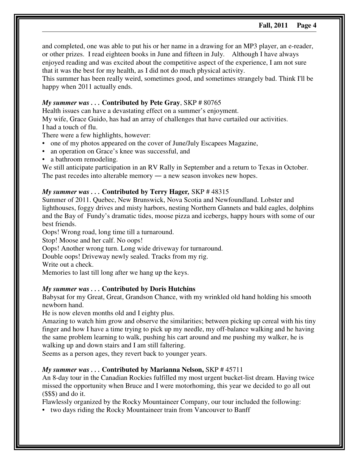and completed, one was able to put his or her name in a drawing for an MP3 player, an e-reader, or other prizes. I read eighteen books in June and fifteen in July. Although I have always enjoyed reading and was excited about the competitive aspect of the experience, I am not sure that it was the best for my health, as I did not do much physical activity.

This summer has been really weird, sometimes good, and sometimes strangely bad. Think I'll be happy when 2011 actually ends.

## *My summer was . . .* **Contributed by Pete Gray**, SKP # 80765

Health issues can have a devastating effect on a summer's enjoyment.

My wife, Grace Guido, has had an array of challenges that have curtailed our activities. I had a touch of flu.

There were a few highlights, however:

- one of my photos appeared on the cover of June/July Escapees Magazine,
- an operation on Grace's knee was successful, and
- a bathroom remodeling.

We still anticipate participation in an RV Rally in September and a return to Texas in October. The past recedes into alterable memory — a new season invokes new hopes.

## *My summer was . . .* **Contributed by Terry Hager***,* SKP # 48315

Summer of 2011. Quebec, New Brunswick, Nova Scotia and Newfoundland. Lobster and lighthouses, foggy drives and misty harbors, nesting Northern Gannets and bald eagles, dolphins and the Bay of Fundy's dramatic tides, moose pizza and icebergs, happy hours with some of our best friends.

Oops! Wrong road, long time till a turnaround.

Stop! Moose and her calf. No oops!

Oops! Another wrong turn. Long wide driveway for turnaround.

Double oops! Driveway newly sealed. Tracks from my rig.

Write out a check.

Memories to last till long after we hang up the keys.

## *My summer was . . .* **Contributed by Doris Hutchins**

Babysat for my Great, Great, Grandson Chance, with my wrinkled old hand holding his smooth newborn hand.

He is now eleven months old and I eighty plus.

Amazing to watch him grow and observe the similarities; between picking up cereal with his tiny finger and how I have a time trying to pick up my needle, my off-balance walking and he having the same problem learning to walk, pushing his cart around and me pushing my walker, he is walking up and down stairs and I am still faltering.

Seems as a person ages, they revert back to younger years.

## *My summer was . . .* **Contributed by Marianna Nelson,** SKP # 45711

An 8-day tour in the Canadian Rockies fulfilled my most urgent bucket-list dream. Having twice missed the opportunity when Bruce and I were motorhoming, this year we decided to go all out (\$\$\$) and do it.

Flawlessly organized by the Rocky Mountaineer Company, our tour included the following:

• two days riding the Rocky Mountaineer train from Vancouver to Banff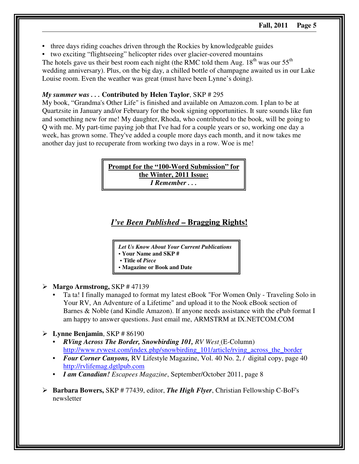- three days riding coaches driven through the Rockies by knowledgeable guides
- two exciting "flightseeing" helicopter rides over glacier-covered mountains

The hotels gave us their best room each night (the RMC told them Aug.  $18<sup>th</sup>$  was our  $55<sup>th</sup>$ wedding anniversary). Plus, on the big day, a chilled bottle of champagne awaited us in our Lake Louise room. Even the weather was great (must have been Lynne's doing).

## *My summer was . . .* **Contributed by Helen Taylor**, SKP # 295

My book, "Grandma's Other Life" is finished and available on Amazon.com. I plan to be at Quartzsite in January and/or February for the book signing opportunities. It sure sounds like fun and something new for me! My daughter, Rhoda, who contributed to the book, will be going to Q with me. My part-time paying job that I've had for a couple years or so, working one day a week, has grown some. They've added a couple more days each month, and it now takes me another day just to recuperate from working two days in a row. Woe is me!

> **Prompt for the "100-Word Submission" for the Winter, 2011 Issue:** *I Remember . . .*

## *I've Been Published* **– Bragging Rights!**

*Let Us Know About Your Current Publications*  **• Your Name and SKP #** 

**• Title of** *Piece*

**• Magazine or Book and Date** 

- **Margo Armstrong,** SKP # 47139
	- Ta ta! I finally managed to format my latest eBook "For Women Only Traveling Solo in Your RV, An Adventure of a Lifetime" and upload it to the Nook eBook section of Barnes & Noble (and Kindle Amazon). If anyone needs assistance with the ePub format I am happy to answer questions. Just email me, ARMSTRM at IX.NETCOM.COM
- **Lynne Benjamin**, SKP # 86190
	- *RVing Across The Border, Snowbirding 101, RV West* (E-Column) http://www.rvwest.com/index.php/snowbirding\_101/article/rving\_across\_the\_border
	- *Four Corner Canyons, RV Lifestyle Magazine, Vol. 40 No. 2, / digital copy, page 40* http://rvlifemag.dgtlpub.com
	- *I am Canadian! Escapees Magazine*, September/October 2011, page 8
- **Barbara Bowers,** SKP # 77439, editor, *The High Flyer*, Christian Fellowship C-BoF's newsletter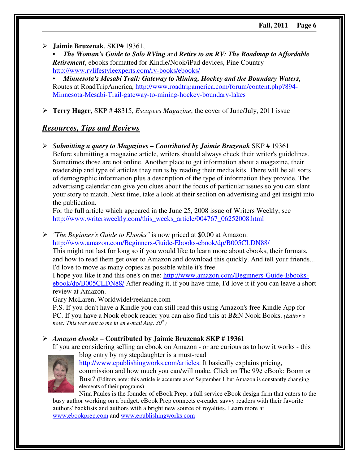- **Jaimie Bruzenak**, SKP# 19361,

• *The Woman's Guide to Solo RVing* and *Retire to an RV: The Roadmap to Affordable Retirement*, ebooks formatted for Kindle/Nook/iPad devices, Pine Country http://www.rvlifestyleexperts.com/rv-books/ebooks/

• *Minnesota's Mesabi Trail: Gateway to Mining, Hockey and the Boundary Waters,*  Routes at RoadTripAmerica, http://www.roadtripamerica.com/forum/content.php?894- Minnesota-Mesabi-Trail-gateway-to-mining-hockey-boundary-lakes

- **Terry Hager**, SKP # 48315, *Escapees Magazine*, the cover of June/July, 2011 issue

## *Resources, Tips and Reviews*

- *Submitting a query to Magazines – Contributed by Jaimie Bruzenak* SKP # 19361 Before submitting a magazine article, writers should always check their writer's guidelines. Sometimes those are not online. Another place to get information about a magazine, their readership and type of articles they run is by reading their media kits. There will be all sorts of demographic information plus a description of the type of information they provide. The advertising calendar can give you clues about the focus of particular issues so you can slant your story to match. Next time, take a look at their section on advertising and get insight into the publication.

For the full article which appeared in the June 25, 2008 issue of Writers Weekly, see http://www.writersweekly.com/this\_weeks\_article/004767\_06252008.html

- *"The Beginner's Guide to Ebooks"* is now priced at \$0.00 at Amazon:

http://www.amazon.com/Beginners-Guide-Ebooks-ebook/dp/B005CLDN88/ This might not last for long so if you would like to learn more about ebooks, their formats, and how to read them get over to Amazon and download this quickly. And tell your friends... I'd love to move as many copies as possible while it's free.

I hope you like it and this one's on me: http://www.amazon.com/Beginners-Guide-Ebooksebook/dp/B005CLDN88/ After reading it, if you have time, I'd love it if you can leave a short review at Amazon.

Gary McLaren, WorldwideFreelance.com

P.S. If you don't have a Kindle you can still read this using Amazon's free Kindle App for PC. If you have a Nook ebook reader you can also find this at B&N Nook Books. *(Editor's note: This was sent to me in an e-mail Aug. 30th)* 

- *Amazon ebooks* – **Contributed by Jaimie Bruzenak SKP # 19361**

If you are considering selling an ebook on Amazon - or are curious as to how it works - this blog entry by my stepdaughter is a must-read



http://www.epublishingworks.com/articles. It basically explains pricing, commission and how much you can/will make. Click on The 99¢ eBook: Boom or Bust? (Editors note: this article is accurate as of September 1 but Amazon is constantly changing elements of their programs)

Nina Paules is the founder of eBook Prep, a full service eBook design firm that caters to the busy author working on a budget. eBook Prep connects e-reader savvy readers with their favorite authors' backlists and authors with a bright new source of royalties. Learn more at www.ebookprep.com and www.epublishingworks.com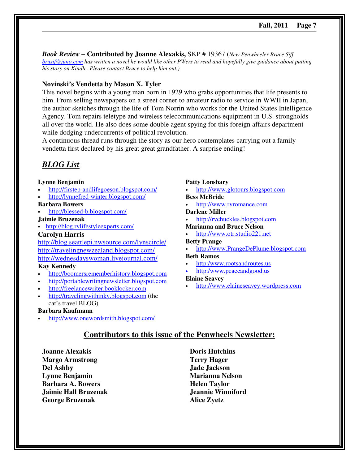*Book Review –* **Contributed by Joanne Alexakis,** SKP # 19367 (*New Penwheeler Bruce Siff brusif@juno.com has written a novel he would like other PWers to read and hopefully give guidance about putting his story on Kindle. Please contact Bruce to help him out.)* 

#### **Novinski's Vendetta by Mason X. Tyler**

This novel begins with a young man born in 1929 who grabs opportunities that life presents to him. From selling newspapers on a street corner to amateur radio to service in WWII in Japan, the author sketches through the life of Tom Norrin who works for the United States Intelligence Agency. Tom repairs teletype and wireless telecommunications equipment in U.S. strongholds all over the world. He also does some double agent spying for this foreign affairs department while dodging undercurrents of political revolution.

A continuous thread runs through the story as our hero contemplates carrying out a family vendetta first declared by his great great grandfather. A surprise ending!

## *BLOG List*

#### **Lynne Benjamin**

- http://firstep-andlifegoeson.blogspot.com/
- http://lynnefred-winter.blogspot.com/

#### **Barbara Bowers**

• http://blessed-b.blogspot.com/

#### **Jaimie Bruzenak**

• http://blog.rvlifestyleexperts.com/

#### **Carolyn Harris**

http://blog.seattlepi.nwsource.com/lynscircle/ http://travelingnewzealand.blogspot.com/ http://wednesdayswoman.livejournal.com/

#### **Kay Kennedy**

- http://boomersrememberhistory.blogspot.com
- http://portablewritingnewsletter.blogspot.com
- http://freelancewriter.booklocker.com
- http://travelingwithinky.blogspot.com (the cat's travel BLOG)

#### **Barbara Kaufmann**

• http://www.onewordsmith.blogspot.com/

#### **Patty Lonsbary**

- http://www.glotours.blogspot.com **Bess McBride**
- http://www.rvromance.com

#### **Darlene Miller**

- http://rvchuckles.blogspot.com **Marianna and Bruce Nelson**
- http://www.otr.studio221.net

#### **Betty Prange**

• http://www.PrangeDePlume.blogspot.com **Beth Ramos** 

- http:/www.rootsandroutes.us
- http:/www.peaceandgood.us

#### **Elaine Seavey**

• http://www.elaineseavey.wordpress.com

## **Contributors to this issue of the Penwheels Newsletter:**

**Joanne Alexakis Margo Armstrong Del Ashby Lynne Benjamin Barbara A. Bowers Jaimie Hall Bruzenak George Bruzenak** 

**Doris Hutchins Terry Hager Jade Jackson Marianna Nelson Helen Taylor Jeannie Winniford Alice Zyetz**